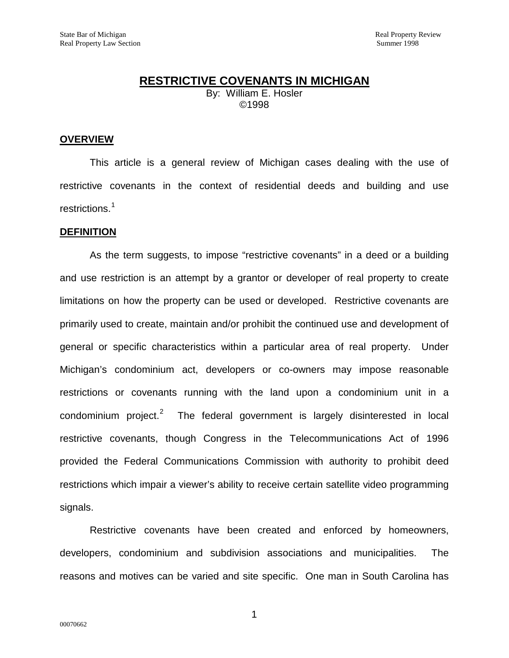# **RESTRICTIVE COVENANTS IN MICHIGAN** By: William E. Hosler ©1998

### **OVERVIEW**

This article is a general review of Michigan cases dealing with the use of restrictive covenants in the context of residential deeds and building and use restrictions.<sup>[1](#page-20-0)</sup>

#### **DEFINITION**

As the term suggests, to impose "restrictive covenants" in a deed or a building and use restriction is an attempt by a grantor or developer of real property to create limitations on how the property can be used or developed. Restrictive covenants are primarily used to create, maintain and/or prohibit the continued use and development of general or specific characteristics within a particular area of real property. Under Michigan's condominium act, developers or co-owners may impose reasonable restrictions or covenants running with the land upon a condominium unit in a condominium project.<sup>[2](#page-20-1)</sup> The federal government is largely disinterested in local restrictive covenants, though Congress in the Telecommunications Act of 1996 provided the Federal Communications Commission with authority to prohibit deed restrictions which impair a viewer's ability to receive certain satellite video programming signals.

Restrictive covenants have been created and enforced by homeowners, developers, condominium and subdivision associations and municipalities. The reasons and motives can be varied and site specific. One man in South Carolina has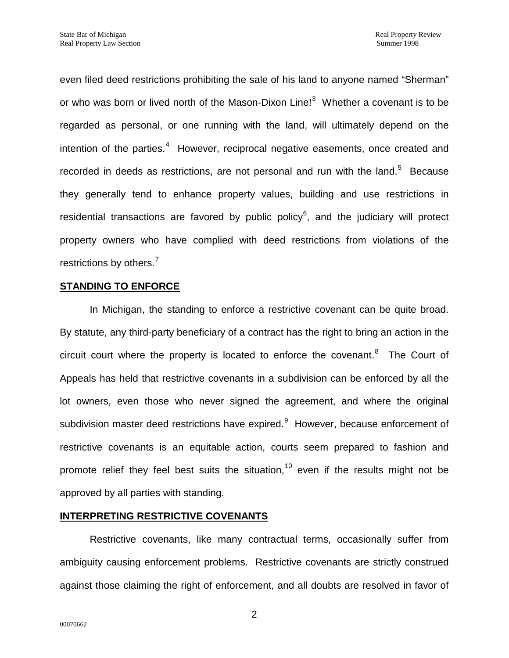even filed deed restrictions prohibiting the sale of his land to anyone named "Sherman" or who was born or lived north of the Mason-Dixon Line!<sup>[3](#page-21-0)</sup> Whether a covenant is to be regarded as personal, or one running with the land, will ultimately depend on the intention of the parties.<sup>[4](#page-21-1)</sup> However, reciprocal negative easements, once created and recorded in deeds as restrictions, are not personal and run with the land.<sup>[5](#page-21-2)</sup> Because they generally tend to enhance property values, building and use restrictions in residential transactions are favored by public policy<sup>[6](#page-21-3)</sup>, and the judiciary will protect property owners who have complied with deed restrictions from violations of the restrictions by others.<sup>[7](#page-21-4)</sup>

## **STANDING TO ENFORCE**

In Michigan, the standing to enforce a restrictive covenant can be quite broad. By statute, any third-party beneficiary of a contract has the right to bring an action in the circuit court where the property is located to enforce the covenant.<sup>[8](#page-21-5)</sup> The Court of Appeals has held that restrictive covenants in a subdivision can be enforced by all the lot owners, even those who never signed the agreement, and where the original subdivision master deed restrictions have expired. However, because enforcement of restrictive covenants is an equitable action, courts seem prepared to fashion and promote relief they feel best suits the situation,<sup>[10](#page-21-7)</sup> even if the results might not be approved by all parties with standing.

## **INTERPRETING RESTRICTIVE COVENANTS**

Restrictive covenants, like many contractual terms, occasionally suffer from ambiguity causing enforcement problems. Restrictive covenants are strictly construed against those claiming the right of enforcement, and all doubts are resolved in favor of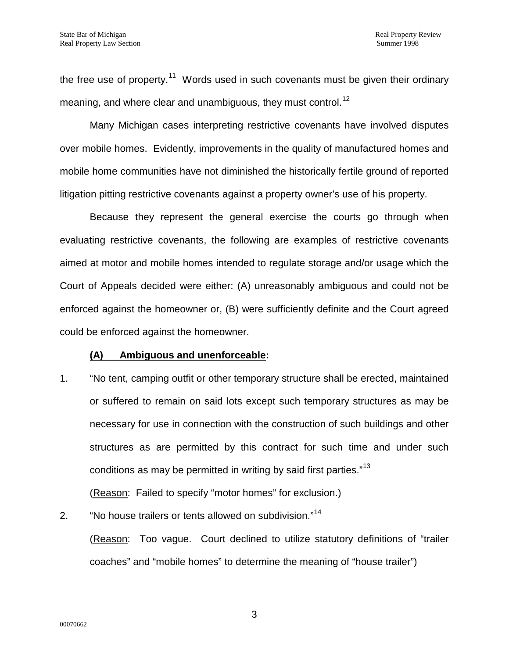the free use of property.<sup>11</sup> Words used in such covenants must be given their ordinary meaning, and where clear and unambiguous, they must control.<sup>12</sup>

Many Michigan cases interpreting restrictive covenants have involved disputes over mobile homes. Evidently, improvements in the quality of manufactured homes and mobile home communities have not diminished the historically fertile ground of reported litigation pitting restrictive covenants against a property owner's use of his property.

Because they represent the general exercise the courts go through when evaluating restrictive covenants, the following are examples of restrictive covenants aimed at motor and mobile homes intended to regulate storage and/or usage which the Court of Appeals decided were either: (A) unreasonably ambiguous and could not be enforced against the homeowner or, (B) were sufficiently definite and the Court agreed could be enforced against the homeowner.

## **(A) Ambiguous and unenforceable:**

1. "No tent, camping outfit or other temporary structure shall be erected, maintained or suffered to remain on said lots except such temporary structures as may be necessary for use in connection with the construction of such buildings and other structures as are permitted by this contract for such time and under such conditions as may be permitted in writing by said first parties."<sup>13</sup>

(Reason: Failed to specify "motor homes" for exclusion.)

2. "No house trailers or tents allowed on subdivision."<sup>14</sup>

(Reason: Too vague. Court declined to utilize statutory definitions of "trailer coaches" and "mobile homes" to determine the meaning of "house trailer")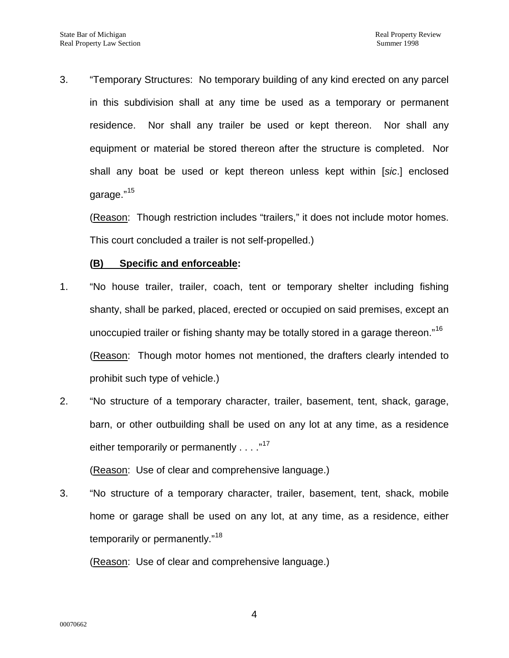3. "Temporary Structures: No temporary building of any kind erected on any parcel in this subdivision shall at any time be used as a temporary or permanent residence. Nor shall any trailer be used or kept thereon. Nor shall any equipment or material be stored thereon after the structure is completed. Nor shall any boat be used or kept thereon unless kept within [*sic*.] enclosed garage."<sup>[15](#page-23-0)</sup>

(Reason: Though restriction includes "trailers," it does not include motor homes. This court concluded a trailer is not self-propelled.)

## **(B) Specific and enforceable:**

- 1. "No house trailer, trailer, coach, tent or temporary shelter including fishing shanty, shall be parked, placed, erected or occupied on said premises, except an unoccupied trailer or fishing shanty may be totally stored in a garage thereon."<sup>[16](#page-23-1)</sup> (Reason: Though motor homes not mentioned, the drafters clearly intended to prohibit such type of vehicle.)
- 2. "No structure of a temporary character, trailer, basement, tent, shack, garage, barn, or other outbuilding shall be used on any lot at any time, as a residence either temporarily or permanently . . . ."<sup>[17](#page-23-2)</sup>

(Reason: Use of clear and comprehensive language.)

3. "No structure of a temporary character, trailer, basement, tent, shack, mobile home or garage shall be used on any lot, at any time, as a residence, either temporarily or permanently."<sup>[18](#page-23-3)</sup>

(Reason: Use of clear and comprehensive language.)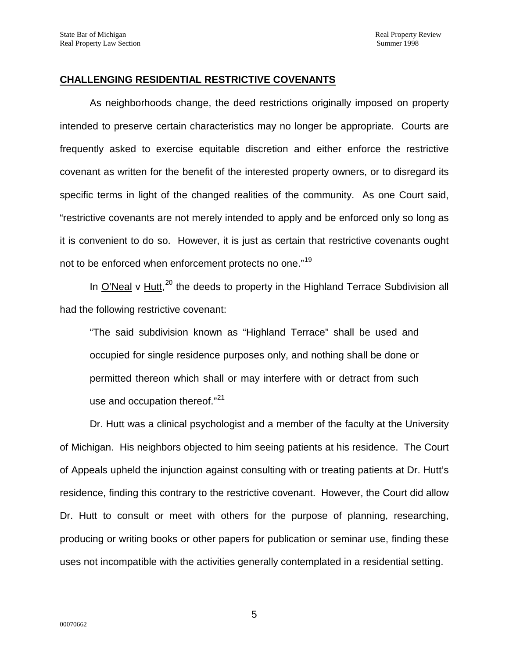## **CHALLENGING RESIDENTIAL RESTRICTIVE COVENANTS**

As neighborhoods change, the deed restrictions originally imposed on property intended to preserve certain characteristics may no longer be appropriate. Courts are frequently asked to exercise equitable discretion and either enforce the restrictive covenant as written for the benefit of the interested property owners, or to disregard its specific terms in light of the changed realities of the community. As one Court said, "restrictive covenants are not merely intended to apply and be enforced only so long as it is convenient to do so. However, it is just as certain that restrictive covenants ought not to be enforced when enforcement protects no one."[19](#page-23-4)

In O'Neal v Hutt,<sup>[20](#page-23-5)</sup> the deeds to property in the Highland Terrace Subdivision all had the following restrictive covenant:

"The said subdivision known as "Highland Terrace" shall be used and occupied for single residence purposes only, and nothing shall be done or permitted thereon which shall or may interfere with or detract from such use and occupation thereof."<sup>[21](#page-23-6)</sup>

Dr. Hutt was a clinical psychologist and a member of the faculty at the University of Michigan. His neighbors objected to him seeing patients at his residence. The Court of Appeals upheld the injunction against consulting with or treating patients at Dr. Hutt's residence, finding this contrary to the restrictive covenant. However, the Court did allow Dr. Hutt to consult or meet with others for the purpose of planning, researching, producing or writing books or other papers for publication or seminar use, finding these uses not incompatible with the activities generally contemplated in a residential setting.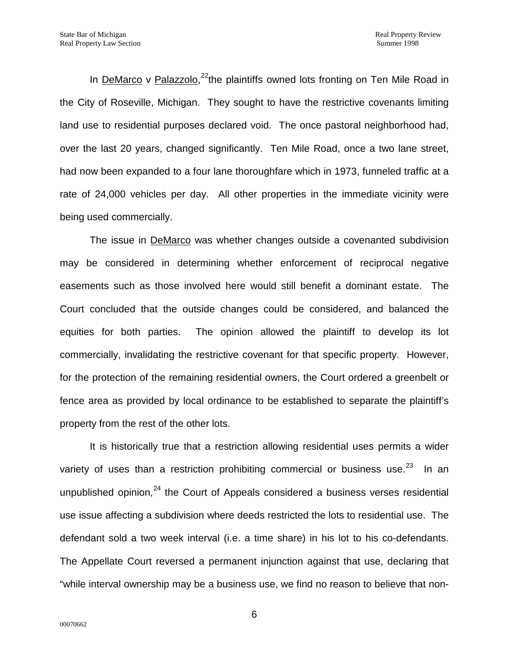In DeMarco v Palazzolo,<sup>22</sup>the plaintiffs owned lots fronting on Ten Mile Road in the City of Roseville, Michigan. They sought to have the restrictive covenants limiting land use to residential purposes declared void. The once pastoral neighborhood had, over the last 20 years, changed significantly. Ten Mile Road, once a two lane street, had now been expanded to a four lane thoroughfare which in 1973, funneled traffic at a rate of 24,000 vehicles per day. All other properties in the immediate vicinity were being used commercially.

The issue in DeMarco was whether changes outside a covenanted subdivision may be considered in determining whether enforcement of reciprocal negative easements such as those involved here would still benefit a dominant estate. The Court concluded that the outside changes could be considered, and balanced the equities for both parties. The opinion allowed the plaintiff to develop its lot commercially, invalidating the restrictive covenant for that specific property. However, for the protection of the remaining residential owners, the Court ordered a greenbelt or fence area as provided by local ordinance to be established to separate the plaintiff's property from the rest of the other lots.

It is historically true that a restriction allowing residential uses permits a wider variety of uses than a restriction prohibiting commercial or business use.<sup>[23](#page-23-8)</sup> In an unpublished opinion, $^{24}$  $^{24}$  $^{24}$  the Court of Appeals considered a business verses residential use issue affecting a subdivision where deeds restricted the lots to residential use. The defendant sold a two week interval (i.e. a time share) in his lot to his co-defendants. The Appellate Court reversed a permanent injunction against that use, declaring that "while interval ownership may be a business use, we find no reason to believe that non-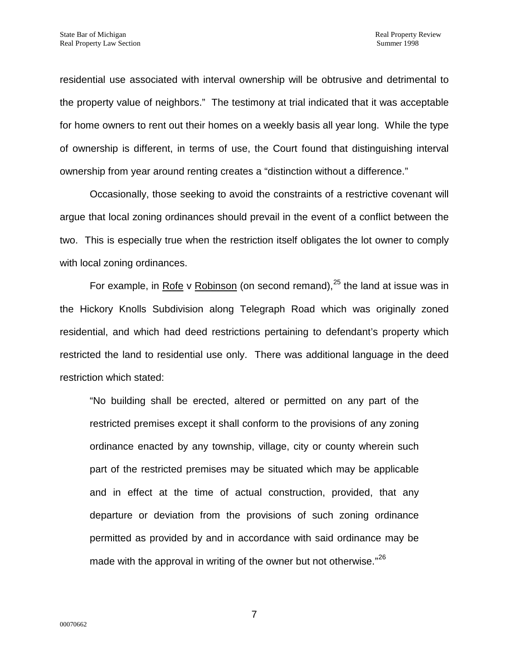residential use associated with interval ownership will be obtrusive and detrimental to the property value of neighbors." The testimony at trial indicated that it was acceptable for home owners to rent out their homes on a weekly basis all year long. While the type of ownership is different, in terms of use, the Court found that distinguishing interval ownership from year around renting creates a "distinction without a difference."

Occasionally, those seeking to avoid the constraints of a restrictive covenant will argue that local zoning ordinances should prevail in the event of a conflict between the two. This is especially true when the restriction itself obligates the lot owner to comply with local zoning ordinances.

For example, in Rofe v Robinson (on second remand),  $25$  the land at issue was in the Hickory Knolls Subdivision along Telegraph Road which was originally zoned residential, and which had deed restrictions pertaining to defendant's property which restricted the land to residential use only. There was additional language in the deed restriction which stated:

"No building shall be erected, altered or permitted on any part of the restricted premises except it shall conform to the provisions of any zoning ordinance enacted by any township, village, city or county wherein such part of the restricted premises may be situated which may be applicable and in effect at the time of actual construction, provided, that any departure or deviation from the provisions of such zoning ordinance permitted as provided by and in accordance with said ordinance may be made with the approval in writing of the owner but not otherwise."<sup>[26](#page-23-11)</sup>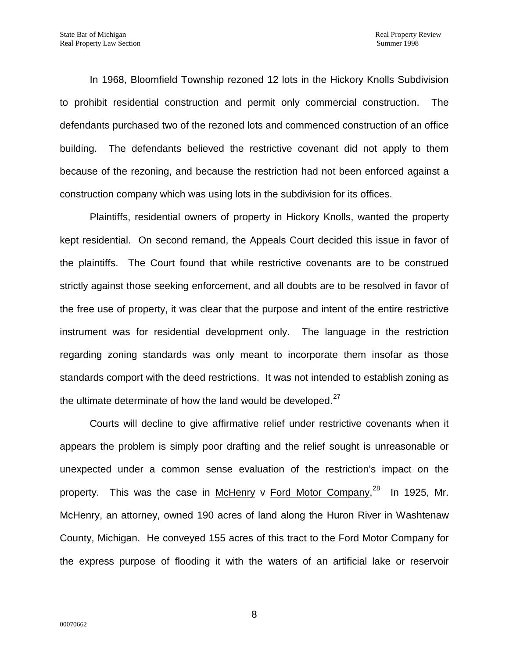In 1968, Bloomfield Township rezoned 12 lots in the Hickory Knolls Subdivision to prohibit residential construction and permit only commercial construction. The defendants purchased two of the rezoned lots and commenced construction of an office building. The defendants believed the restrictive covenant did not apply to them because of the rezoning, and because the restriction had not been enforced against a construction company which was using lots in the subdivision for its offices.

Plaintiffs, residential owners of property in Hickory Knolls, wanted the property kept residential. On second remand, the Appeals Court decided this issue in favor of the plaintiffs. The Court found that while restrictive covenants are to be construed strictly against those seeking enforcement, and all doubts are to be resolved in favor of the free use of property, it was clear that the purpose and intent of the entire restrictive instrument was for residential development only. The language in the restriction regarding zoning standards was only meant to incorporate them insofar as those standards comport with the deed restrictions. It was not intended to establish zoning as the ultimate determinate of how the land would be developed.<sup>[27](#page-23-12)</sup>

Courts will decline to give affirmative relief under restrictive covenants when it appears the problem is simply poor drafting and the relief sought is unreasonable or unexpected under a common sense evaluation of the restriction's impact on the property. This was the case in McHenry v Ford Motor Company,<sup>[28](#page-23-13)</sup> In 1925, Mr. McHenry, an attorney, owned 190 acres of land along the Huron River in Washtenaw County, Michigan. He conveyed 155 acres of this tract to the Ford Motor Company for the express purpose of flooding it with the waters of an artificial lake or reservoir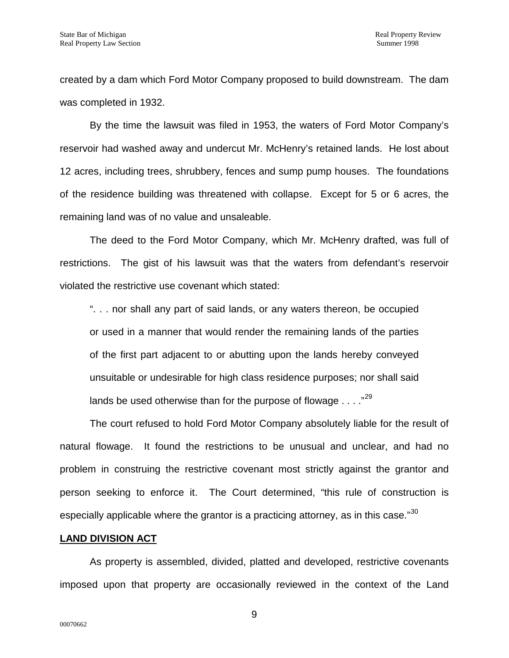created by a dam which Ford Motor Company proposed to build downstream. The dam was completed in 1932.

By the time the lawsuit was filed in 1953, the waters of Ford Motor Company's reservoir had washed away and undercut Mr. McHenry's retained lands. He lost about 12 acres, including trees, shrubbery, fences and sump pump houses. The foundations of the residence building was threatened with collapse. Except for 5 or 6 acres, the remaining land was of no value and unsaleable.

The deed to the Ford Motor Company, which Mr. McHenry drafted, was full of restrictions. The gist of his lawsuit was that the waters from defendant's reservoir violated the restrictive use covenant which stated:

". . . nor shall any part of said lands, or any waters thereon, be occupied or used in a manner that would render the remaining lands of the parties of the first part adjacent to or abutting upon the lands hereby conveyed unsuitable or undesirable for high class residence purposes; nor shall said lands be used otherwise than for the purpose of flowage . . . ."<sup>[29](#page-23-14)</sup>

The court refused to hold Ford Motor Company absolutely liable for the result of natural flowage. It found the restrictions to be unusual and unclear, and had no problem in construing the restrictive covenant most strictly against the grantor and person seeking to enforce it. The Court determined, "this rule of construction is especially applicable where the grantor is a practicing attorney, as in this case."<sup>[30](#page-23-15)</sup>

#### **LAND DIVISION ACT**

As property is assembled, divided, platted and developed, restrictive covenants imposed upon that property are occasionally reviewed in the context of the Land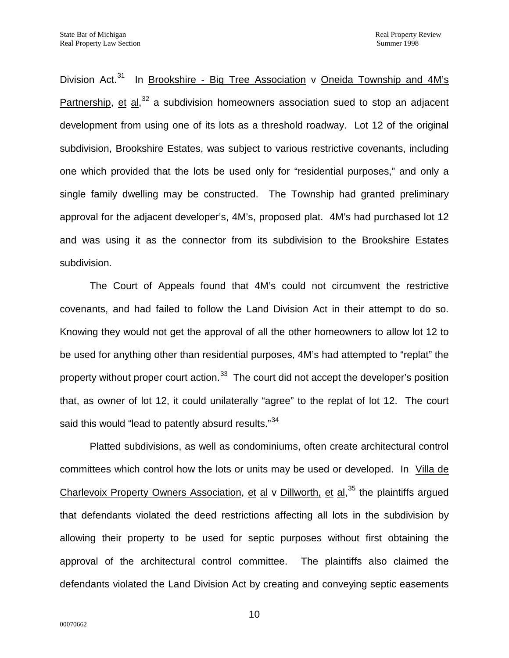Division Act.<sup>[31](#page-23-16)</sup> In Brookshire - Big Tree Association v Oneida Township and  $4M$ 's Partnership, et al,<sup>[32](#page-23-17)</sup> a subdivision homeowners association sued to stop an adjacent development from using one of its lots as a threshold roadway. Lot 12 of the original subdivision, Brookshire Estates, was subject to various restrictive covenants, including one which provided that the lots be used only for "residential purposes," and only a single family dwelling may be constructed. The Township had granted preliminary approval for the adjacent developer's, 4M's, proposed plat. 4M's had purchased lot 12 and was using it as the connector from its subdivision to the Brookshire Estates subdivision.

The Court of Appeals found that 4M's could not circumvent the restrictive covenants, and had failed to follow the Land Division Act in their attempt to do so. Knowing they would not get the approval of all the other homeowners to allow lot 12 to be used for anything other than residential purposes, 4M's had attempted to "replat" the property without proper court action.<sup>33</sup> The court did not accept the developer's position that, as owner of lot 12, it could unilaterally "agree" to the replat of lot 12. The court said this would "lead to patently absurd results."<sup>[34](#page-23-19)</sup>

Platted subdivisions, as well as condominiums, often create architectural control committees which control how the lots or units may be used or developed. In Villa de Charlevoix Property Owners Association, et al v Dillworth, et al,<sup>[35](#page-23-20)</sup> the plaintiffs argued that defendants violated the deed restrictions affecting all lots in the subdivision by allowing their property to be used for septic purposes without first obtaining the approval of the architectural control committee. The plaintiffs also claimed the defendants violated the Land Division Act by creating and conveying septic easements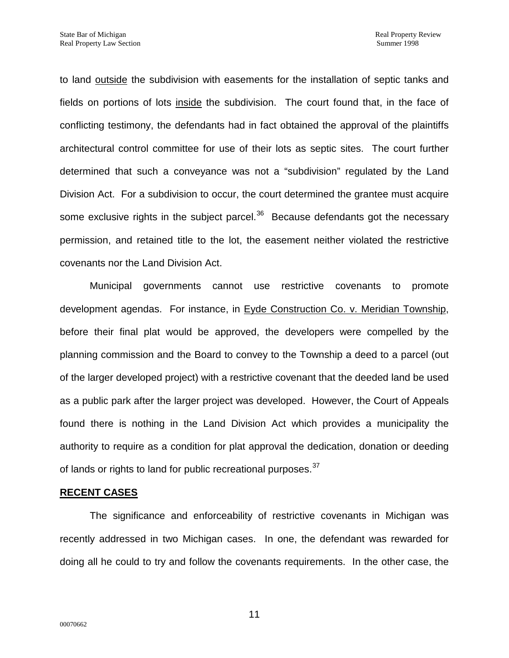to land outside the subdivision with easements for the installation of septic tanks and fields on portions of lots inside the subdivision. The court found that, in the face of conflicting testimony, the defendants had in fact obtained the approval of the plaintiffs architectural control committee for use of their lots as septic sites. The court further determined that such a conveyance was not a "subdivision" regulated by the Land Division Act. For a subdivision to occur, the court determined the grantee must acquire some exclusive rights in the subject parcel. $36$  Because defendants got the necessary permission, and retained title to the lot, the easement neither violated the restrictive covenants nor the Land Division Act.

Municipal governments cannot use restrictive covenants to promote development agendas. For instance, in Eyde Construction Co. v. Meridian Township, before their final plat would be approved, the developers were compelled by the planning commission and the Board to convey to the Township a deed to a parcel (out of the larger developed project) with a restrictive covenant that the deeded land be used as a public park after the larger project was developed. However, the Court of Appeals found there is nothing in the Land Division Act which provides a municipality the authority to require as a condition for plat approval the dedication, donation or deeding of lands or rights to land for public recreational purposes.<sup>[37](#page-23-2)</sup>

#### **RECENT CASES**

The significance and enforceability of restrictive covenants in Michigan was recently addressed in two Michigan cases. In one, the defendant was rewarded for doing all he could to try and follow the covenants requirements. In the other case, the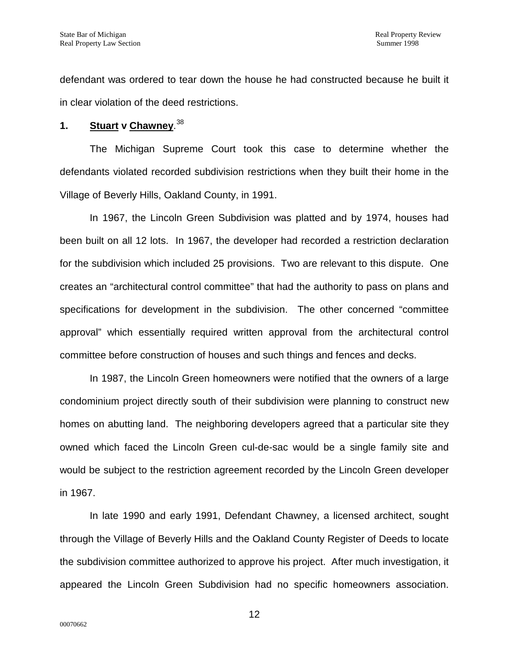defendant was ordered to tear down the house he had constructed because he built it in clear violation of the deed restrictions.

# **1. Stuart v Chawney**. [38](#page-23-3)

The Michigan Supreme Court took this case to determine whether the defendants violated recorded subdivision restrictions when they built their home in the Village of Beverly Hills, Oakland County, in 1991.

In 1967, the Lincoln Green Subdivision was platted and by 1974, houses had been built on all 12 lots. In 1967, the developer had recorded a restriction declaration for the subdivision which included 25 provisions. Two are relevant to this dispute. One creates an "architectural control committee" that had the authority to pass on plans and specifications for development in the subdivision. The other concerned "committee approval" which essentially required written approval from the architectural control committee before construction of houses and such things and fences and decks.

In 1987, the Lincoln Green homeowners were notified that the owners of a large condominium project directly south of their subdivision were planning to construct new homes on abutting land. The neighboring developers agreed that a particular site they owned which faced the Lincoln Green cul-de-sac would be a single family site and would be subject to the restriction agreement recorded by the Lincoln Green developer in 1967.

In late 1990 and early 1991, Defendant Chawney, a licensed architect, sought through the Village of Beverly Hills and the Oakland County Register of Deeds to locate the subdivision committee authorized to approve his project. After much investigation, it appeared the Lincoln Green Subdivision had no specific homeowners association.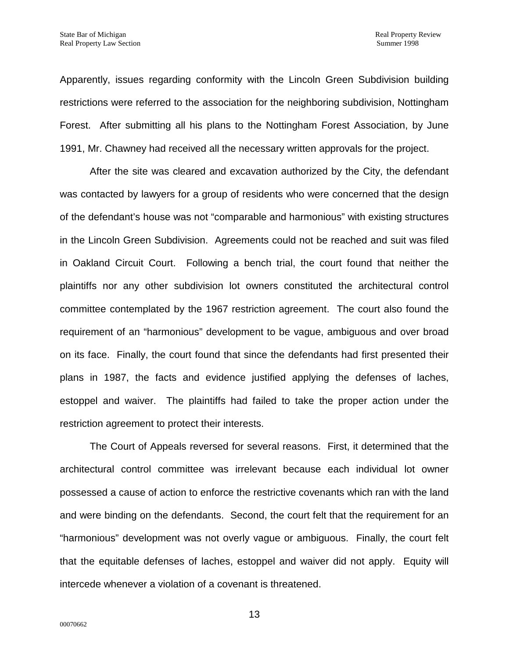Apparently, issues regarding conformity with the Lincoln Green Subdivision building restrictions were referred to the association for the neighboring subdivision, Nottingham Forest. After submitting all his plans to the Nottingham Forest Association, by June 1991, Mr. Chawney had received all the necessary written approvals for the project.

After the site was cleared and excavation authorized by the City, the defendant was contacted by lawyers for a group of residents who were concerned that the design of the defendant's house was not "comparable and harmonious" with existing structures in the Lincoln Green Subdivision. Agreements could not be reached and suit was filed in Oakland Circuit Court. Following a bench trial, the court found that neither the plaintiffs nor any other subdivision lot owners constituted the architectural control committee contemplated by the 1967 restriction agreement. The court also found the requirement of an "harmonious" development to be vague, ambiguous and over broad on its face. Finally, the court found that since the defendants had first presented their plans in 1987, the facts and evidence justified applying the defenses of laches, estoppel and waiver. The plaintiffs had failed to take the proper action under the restriction agreement to protect their interests.

The Court of Appeals reversed for several reasons. First, it determined that the architectural control committee was irrelevant because each individual lot owner possessed a cause of action to enforce the restrictive covenants which ran with the land and were binding on the defendants. Second, the court felt that the requirement for an "harmonious" development was not overly vague or ambiguous. Finally, the court felt that the equitable defenses of laches, estoppel and waiver did not apply. Equity will intercede whenever a violation of a covenant is threatened.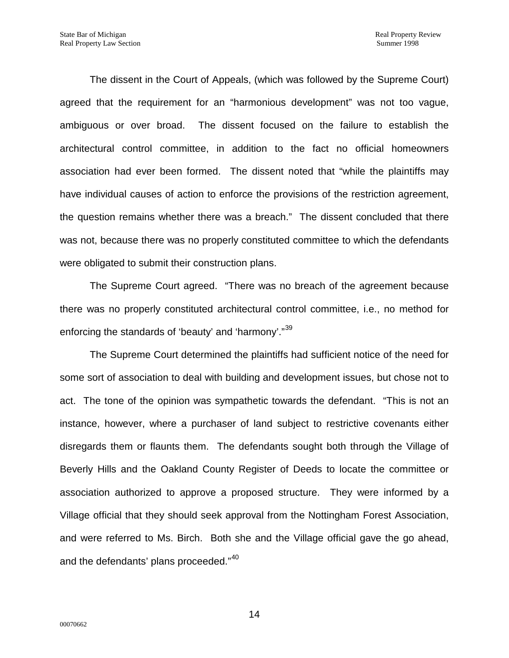The dissent in the Court of Appeals, (which was followed by the Supreme Court) agreed that the requirement for an "harmonious development" was not too vague, ambiguous or over broad. The dissent focused on the failure to establish the architectural control committee, in addition to the fact no official homeowners association had ever been formed. The dissent noted that "while the plaintiffs may have individual causes of action to enforce the provisions of the restriction agreement, the question remains whether there was a breach." The dissent concluded that there was not, because there was no properly constituted committee to which the defendants were obligated to submit their construction plans.

The Supreme Court agreed. "There was no breach of the agreement because there was no properly constituted architectural control committee, i.e., no method for enforcing the standards of 'beauty' and 'harmony'."<sup>[39](#page-23-22)</sup>

The Supreme Court determined the plaintiffs had sufficient notice of the need for some sort of association to deal with building and development issues, but chose not to act. The tone of the opinion was sympathetic towards the defendant. "This is not an instance, however, where a purchaser of land subject to restrictive covenants either disregards them or flaunts them. The defendants sought both through the Village of Beverly Hills and the Oakland County Register of Deeds to locate the committee or association authorized to approve a proposed structure. They were informed by a Village official that they should seek approval from the Nottingham Forest Association, and were referred to Ms. Birch. Both she and the Village official gave the go ahead, and the defendants' plans proceeded."<sup>[40](#page-23-4)</sup>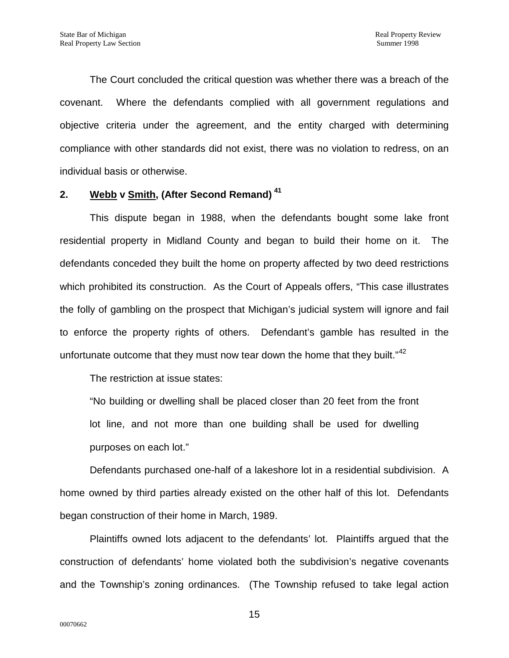The Court concluded the critical question was whether there was a breach of the covenant. Where the defendants complied with all government regulations and objective criteria under the agreement, and the entity charged with determining compliance with other standards did not exist, there was no violation to redress, on an individual basis or otherwise.

## **2. Webb v Smith, (After Second Remand) [41](#page-23-5)**

This dispute began in 1988, when the defendants bought some lake front residential property in Midland County and began to build their home on it. The defendants conceded they built the home on property affected by two deed restrictions which prohibited its construction. As the Court of Appeals offers, "This case illustrates the folly of gambling on the prospect that Michigan's judicial system will ignore and fail to enforce the property rights of others. Defendant's gamble has resulted in the unfortunate outcome that they must now tear down the home that they built." $42$ 

The restriction at issue states:

"No building or dwelling shall be placed closer than 20 feet from the front lot line, and not more than one building shall be used for dwelling purposes on each lot."

Defendants purchased one-half of a lakeshore lot in a residential subdivision. A home owned by third parties already existed on the other half of this lot. Defendants began construction of their home in March, 1989.

Plaintiffs owned lots adjacent to the defendants' lot. Plaintiffs argued that the construction of defendants' home violated both the subdivision's negative covenants and the Township's zoning ordinances. (The Township refused to take legal action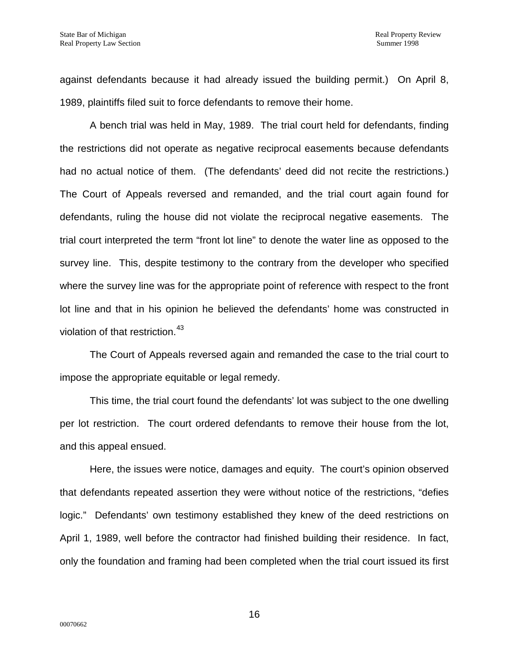against defendants because it had already issued the building permit.) On April 8, 1989, plaintiffs filed suit to force defendants to remove their home.

A bench trial was held in May, 1989. The trial court held for defendants, finding the restrictions did not operate as negative reciprocal easements because defendants had no actual notice of them. (The defendants' deed did not recite the restrictions.) The Court of Appeals reversed and remanded, and the trial court again found for defendants, ruling the house did not violate the reciprocal negative easements. The trial court interpreted the term "front lot line" to denote the water line as opposed to the survey line. This, despite testimony to the contrary from the developer who specified where the survey line was for the appropriate point of reference with respect to the front lot line and that in his opinion he believed the defendants' home was constructed in violation of that restriction.<sup>[43](#page-23-7)</sup>

The Court of Appeals reversed again and remanded the case to the trial court to impose the appropriate equitable or legal remedy.

This time, the trial court found the defendants' lot was subject to the one dwelling per lot restriction. The court ordered defendants to remove their house from the lot, and this appeal ensued.

Here, the issues were notice, damages and equity. The court's opinion observed that defendants repeated assertion they were without notice of the restrictions, "defies logic." Defendants' own testimony established they knew of the deed restrictions on April 1, 1989, well before the contractor had finished building their residence. In fact, only the foundation and framing had been completed when the trial court issued its first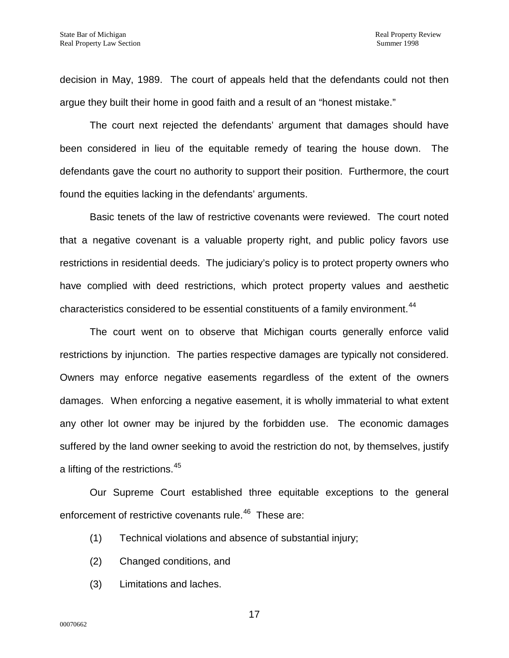decision in May, 1989. The court of appeals held that the defendants could not then argue they built their home in good faith and a result of an "honest mistake."

The court next rejected the defendants' argument that damages should have been considered in lieu of the equitable remedy of tearing the house down. The defendants gave the court no authority to support their position. Furthermore, the court found the equities lacking in the defendants' arguments.

Basic tenets of the law of restrictive covenants were reviewed. The court noted that a negative covenant is a valuable property right, and public policy favors use restrictions in residential deeds. The judiciary's policy is to protect property owners who have complied with deed restrictions, which protect property values and aesthetic characteristics considered to be essential constituents of a family environment.<sup>[44](#page-23-9)</sup>

The court went on to observe that Michigan courts generally enforce valid restrictions by injunction. The parties respective damages are typically not considered. Owners may enforce negative easements regardless of the extent of the owners damages. When enforcing a negative easement, it is wholly immaterial to what extent any other lot owner may be injured by the forbidden use. The economic damages suffered by the land owner seeking to avoid the restriction do not, by themselves, justify a lifting of the restrictions.<sup>[45](#page-23-23)</sup>

Our Supreme Court established three equitable exceptions to the general enforcement of restrictive covenants rule.<sup>46</sup> These are:

- (1) Technical violations and absence of substantial injury;
- (2) Changed conditions, and
- (3) Limitations and laches.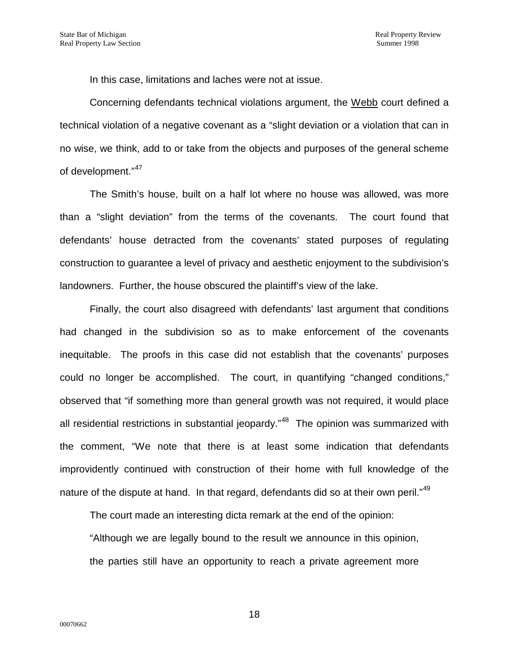In this case, limitations and laches were not at issue.

Concerning defendants technical violations argument, the Webb court defined a technical violation of a negative covenant as a "slight deviation or a violation that can in no wise, we think, add to or take from the objects and purposes of the general scheme of development."<sup>[47](#page-23-12)</sup>

The Smith's house, built on a half lot where no house was allowed, was more than a "slight deviation" from the terms of the covenants. The court found that defendants' house detracted from the covenants' stated purposes of regulating construction to guarantee a level of privacy and aesthetic enjoyment to the subdivision's landowners. Further, the house obscured the plaintiff's view of the lake.

Finally, the court also disagreed with defendants' last argument that conditions had changed in the subdivision so as to make enforcement of the covenants inequitable. The proofs in this case did not establish that the covenants' purposes could no longer be accomplished. The court, in quantifying "changed conditions," observed that "if something more than general growth was not required, it would place all residential restrictions in substantial jeopardy."<sup>48</sup> The opinion was summarized with the comment, "We note that there is at least some indication that defendants improvidently continued with construction of their home with full knowledge of the nature of the dispute at hand. In that regard, defendants did so at their own peril."<sup>[49](#page-23-14)</sup>

The court made an interesting dicta remark at the end of the opinion:

"Although we are legally bound to the result we announce in this opinion, the parties still have an opportunity to reach a private agreement more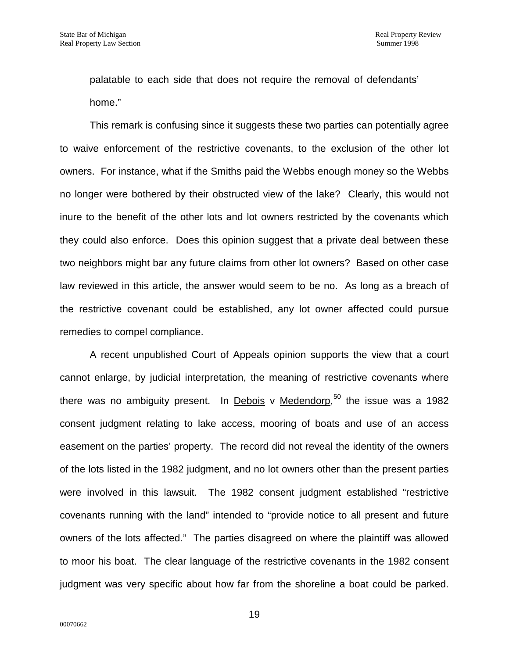palatable to each side that does not require the removal of defendants' home."

This remark is confusing since it suggests these two parties can potentially agree to waive enforcement of the restrictive covenants, to the exclusion of the other lot owners. For instance, what if the Smiths paid the Webbs enough money so the Webbs no longer were bothered by their obstructed view of the lake? Clearly, this would not inure to the benefit of the other lots and lot owners restricted by the covenants which they could also enforce. Does this opinion suggest that a private deal between these two neighbors might bar any future claims from other lot owners? Based on other case law reviewed in this article, the answer would seem to be no. As long as a breach of the restrictive covenant could be established, any lot owner affected could pursue remedies to compel compliance.

A recent unpublished Court of Appeals opinion supports the view that a court cannot enlarge, by judicial interpretation, the meaning of restrictive covenants where there was no ambiguity present. In Debois v Medendorp,<sup>[50](#page-23-15)</sup> the issue was a 1982 consent judgment relating to lake access, mooring of boats and use of an access easement on the parties' property. The record did not reveal the identity of the owners of the lots listed in the 1982 judgment, and no lot owners other than the present parties were involved in this lawsuit. The 1982 consent judgment established "restrictive covenants running with the land" intended to "provide notice to all present and future owners of the lots affected." The parties disagreed on where the plaintiff was allowed to moor his boat. The clear language of the restrictive covenants in the 1982 consent judgment was very specific about how far from the shoreline a boat could be parked.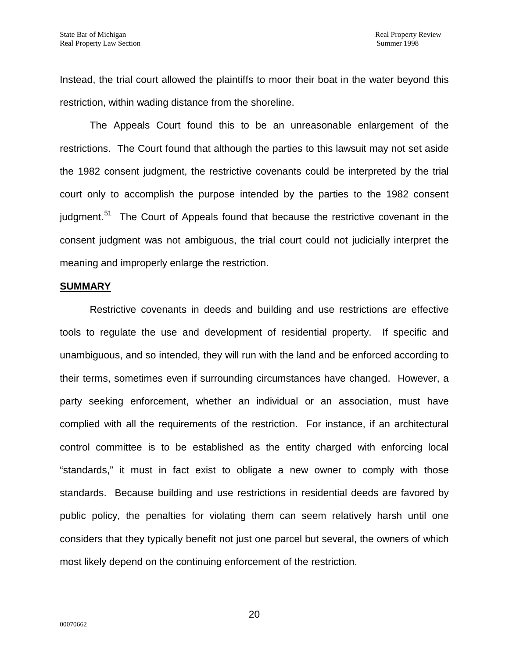Instead, the trial court allowed the plaintiffs to moor their boat in the water beyond this restriction, within wading distance from the shoreline.

The Appeals Court found this to be an unreasonable enlargement of the restrictions. The Court found that although the parties to this lawsuit may not set aside the 1982 consent judgment, the restrictive covenants could be interpreted by the trial court only to accomplish the purpose intended by the parties to the 1982 consent iudgment.<sup>[51](#page-23-24)</sup> The Court of Appeals found that because the restrictive covenant in the consent judgment was not ambiguous, the trial court could not judicially interpret the meaning and improperly enlarge the restriction.

#### **SUMMARY**

Restrictive covenants in deeds and building and use restrictions are effective tools to regulate the use and development of residential property. If specific and unambiguous, and so intended, they will run with the land and be enforced according to their terms, sometimes even if surrounding circumstances have changed. However, a party seeking enforcement, whether an individual or an association, must have complied with all the requirements of the restriction. For instance, if an architectural control committee is to be established as the entity charged with enforcing local "standards," it must in fact exist to obligate a new owner to comply with those standards. Because building and use restrictions in residential deeds are favored by public policy, the penalties for violating them can seem relatively harsh until one considers that they typically benefit not just one parcel but several, the owners of which most likely depend on the continuing enforcement of the restriction.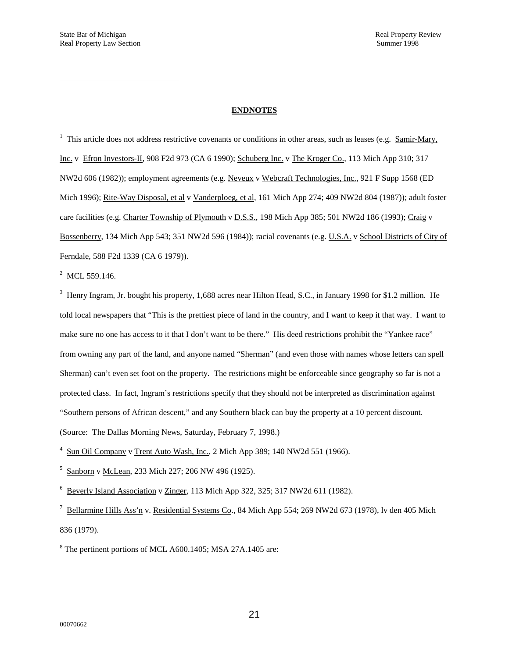<span id="page-20-0"></span> $\overline{a}$ 

#### **ENDNOTES**

<sup>1</sup> This article does not address restrictive covenants or conditions in other areas, such as leases (e.g. Samir-Mary, Inc. v Efron Investors-II, 908 F2d 973 (CA 6 1990); Schuberg Inc. v The Kroger Co., 113 Mich App 310; 317 NW2d 606 (1982)); employment agreements (e.g. Neveux v Webcraft Technologies, Inc., 921 F Supp 1568 (ED Mich 1996); Rite-Way Disposal, et al v Vanderploeg, et al, 161 Mich App 274; 409 NW2d 804 (1987)); adult foster care facilities (e.g. Charter Township of Plymouth v D.S.S., 198 Mich App 385; 501 NW2d 186 (1993); Craig v Bossenberry, 134 Mich App 543; 351 NW2d 596 (1984)); racial covenants (e.g. U.S.A. v School Districts of City of Ferndale, 588 F2d 1339 (CA 6 1979)).

<span id="page-20-1"></span> $^2$  MCL 559.146.

<sup>3</sup> Henry Ingram, Jr. bought his property, 1,688 acres near Hilton Head, S.C., in January 1998 for \$1.2 million. He told local newspapers that "This is the prettiest piece of land in the country, and I want to keep it that way. I want to make sure no one has access to it that I don't want to be there." His deed restrictions prohibit the "Yankee race" from owning any part of the land, and anyone named "Sherman" (and even those with names whose letters can spell Sherman) can't even set foot on the property. The restrictions might be enforceable since geography so far is not a protected class. In fact, Ingram's restrictions specify that they should not be interpreted as discrimination against "Southern persons of African descent," and any Southern black can buy the property at a 10 percent discount. (Source: The Dallas Morning News, Saturday, February 7, 1998.)

 $4 \text{ Sun Oil Company}$  v Trent Auto Wash, Inc., 2 Mich App 389; 140 NW2d 551 (1966).

<sup>5</sup> Sanborn v McLean, 233 Mich 227; 206 NW 496 (1925).

<sup>6</sup> Beverly Island Association v Zinger, 113 Mich App 322, 325; 317 NW2d 611 (1982).

 $^7$  Bellarmine Hills Ass'n v. Residential Systems Co., 84 Mich App 554; 269 NW2d 673 (1978), lv den 405 Mich 836 (1979).

<sup>8</sup> The pertinent portions of MCL A600.1405; MSA 27A.1405 are: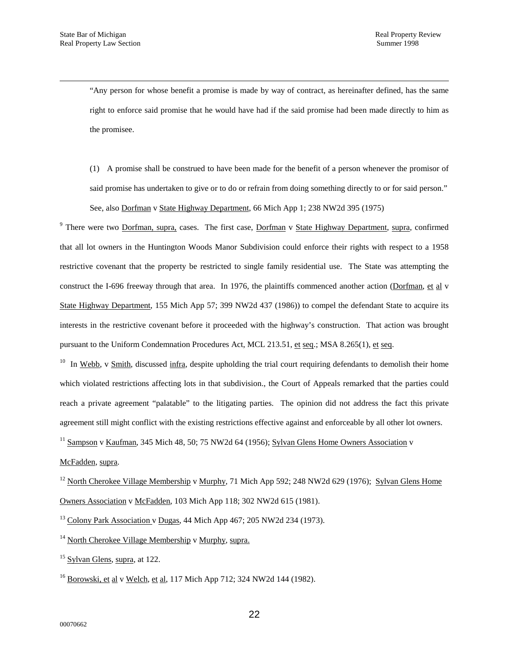$\overline{a}$ 

"Any person for whose benefit a promise is made by way of contract, as hereinafter defined, has the same right to enforce said promise that he would have had if the said promise had been made directly to him as the promisee.

(1) A promise shall be construed to have been made for the benefit of a person whenever the promisor of said promise has undertaken to give or to do or refrain from doing something directly to or for said person." See, also Dorfman v State Highway Department, 66 Mich App 1; 238 NW2d 395 (1975)

<span id="page-21-6"></span><span id="page-21-0"></span><sup>9</sup> There were two Dorfman, supra, cases. The first case, Dorfman v State Highway Department, supra, confirmed that all lot owners in the Huntington Woods Manor Subdivision could enforce their rights with respect to a 1958 restrictive covenant that the property be restricted to single family residential use. The State was attempting the construct the I-696 freeway through that area. In 1976, the plaintiffs commenced another action (Dorfman, et al v State Highway Department, 155 Mich App 57; 399 NW2d 437 (1986)) to compel the defendant State to acquire its interests in the restrictive covenant before it proceeded with the highway's construction. That action was brought pursuant to the Uniform Condemnation Procedures Act, MCL 213.51, et seq.; MSA 8.265(1), et seq.

<span id="page-21-7"></span> $10$  In Webb, v Smith, discussed infra, despite upholding the trial court requiring defendants to demolish their home which violated restrictions affecting lots in that subdivision., the Court of Appeals remarked that the parties could reach a private agreement "palatable" to the litigating parties. The opinion did not address the fact this private agreement still might conflict with the existing restrictions effective against and enforceable by all other lot owners.

<sup>11</sup> Sampson v Kaufman, 345 Mich 48, 50; 75 NW2d 64 (1956); Sylvan Glens Home Owners Association v

<span id="page-21-2"></span><span id="page-21-1"></span>McFadden, supra.

<span id="page-21-3"></span><sup>12</sup> North Cherokee Village Membership v Murphy, 71 Mich App 592; 248 NW2d 629 (1976); Sylvan Glens Home Owners Association v McFadden, 103 Mich App 118; 302 NW2d 615 (1981).

<span id="page-21-4"></span> $13$  Colony Park Association v Dugas, 44 Mich App 467; 205 NW2d 234 (1973).

<sup>14</sup> North Cherokee Village Membership v Murphy, supra.

<span id="page-21-5"></span><sup>15</sup> Sylvan Glens, supra, at 122.

 $^{16}$  Borowski, et al v Welch, et al, 117 Mich App 712; 324 NW2d 144 (1982).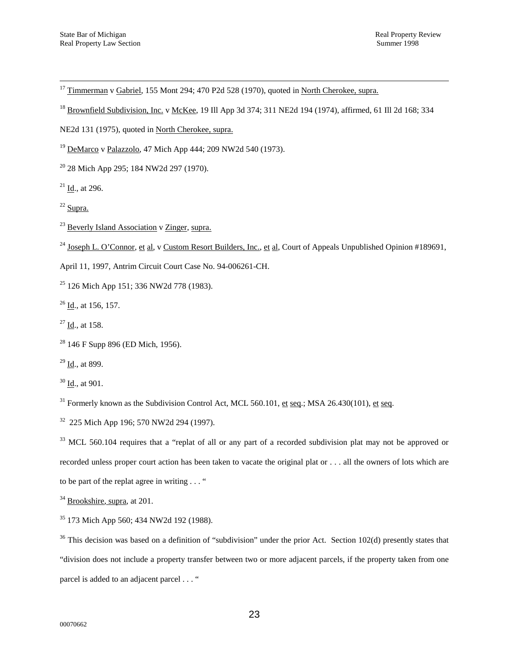<sup>17</sup> Timmerman v Gabriel, 155 Mont 294; 470 P2d 528 (1970), quoted in North Cherokee, supra.

<sup>18</sup> Brownfield Subdivision, Inc. v McKee, 19 Ill App 3d 374; 311 NE2d 194 (1974), affirmed, 61 Ill 2d 168; 334

NE2d 131 (1975), quoted in North Cherokee, supra.

 $19$  DeMarco v Palazzolo, 47 Mich App 444; 209 NW2d 540 (1973).

 $20$  28 Mich App 295; 184 NW2d 297 (1970).

 $21$  Id., at 296.

 $22$  Supra.

 $23$  Beverly Island Association v Zinger, supra.

<sup>24</sup> Joseph L. O'Connor, et al, v Custom Resort Builders, Inc., et al, Court of Appeals Unpublished Opinion #189691,

April 11, 1997, Antrim Circuit Court Case No. 94-006261-CH.

 $25$  126 Mich App 151; 336 NW2d 778 (1983).

 $26$  Id., at 156, 157.

 $27$  Id., at 158.

 $28$  146 F Supp 896 (ED Mich, 1956).

 $29$  Id., at 899.

 $30$  Id., at 901.

 $31$  Formerly known as the Subdivision Control Act, MCL 560.101, et seq.; MSA 26.430(101), et seq.

32 225 Mich App 196; 570 NW2d 294 (1997).

<span id="page-22-0"></span><sup>33</sup> MCL 560.104 requires that a "replat of all or any part of a recorded subdivision plat may not be approved or recorded unless proper court action has been taken to vacate the original plat or . . . all the owners of lots which are to be part of the replat agree in writing . . . "

<span id="page-22-1"></span><sup>34</sup> Brookshire, supra, at 201.

<span id="page-22-2"></span><sup>35</sup> 173 Mich App 560; 434 NW2d 192 (1988).

<span id="page-22-3"></span> $36$  This decision was based on a definition of "subdivision" under the prior Act. Section 102(d) presently states that "division does not include a property transfer between two or more adjacent parcels, if the property taken from one parcel is added to an adjacent parcel . . . "